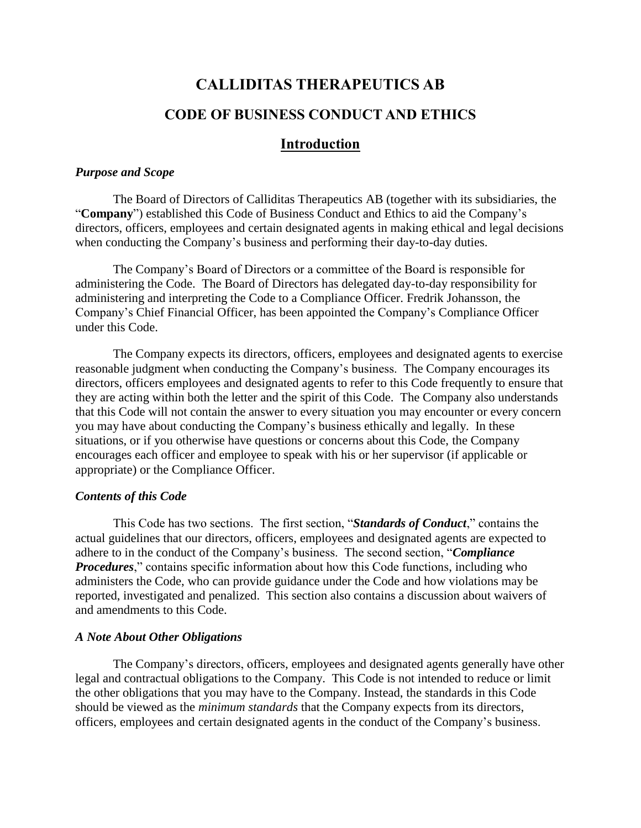# **CALLIDITAS THERAPEUTICS AB CODE OF BUSINESS CONDUCT AND ETHICS**

## **Introduction**

## *Purpose and Scope*

The Board of Directors of Calliditas Therapeutics AB (together with its subsidiaries, the "**Company**") established this Code of Business Conduct and Ethics to aid the Company's directors, officers, employees and certain designated agents in making ethical and legal decisions when conducting the Company's business and performing their day-to-day duties.

The Company's Board of Directors or a committee of the Board is responsible for administering the Code. The Board of Directors has delegated day-to-day responsibility for administering and interpreting the Code to a Compliance Officer. Fredrik Johansson, the Company's Chief Financial Officer, has been appointed the Company's Compliance Officer under this Code.

The Company expects its directors, officers, employees and designated agents to exercise reasonable judgment when conducting the Company's business. The Company encourages its directors, officers employees and designated agents to refer to this Code frequently to ensure that they are acting within both the letter and the spirit of this Code. The Company also understands that this Code will not contain the answer to every situation you may encounter or every concern you may have about conducting the Company's business ethically and legally. In these situations, or if you otherwise have questions or concerns about this Code, the Company encourages each officer and employee to speak with his or her supervisor (if applicable or appropriate) or the Compliance Officer.

## *Contents of this Code*

This Code has two sections. The first section, "*Standards of Conduct*," contains the actual guidelines that our directors, officers, employees and designated agents are expected to adhere to in the conduct of the Company's business. The second section, "*Compliance Procedures*," contains specific information about how this Code functions, including who administers the Code, who can provide guidance under the Code and how violations may be reported, investigated and penalized. This section also contains a discussion about waivers of and amendments to this Code.

## *A Note About Other Obligations*

The Company's directors, officers, employees and designated agents generally have other legal and contractual obligations to the Company. This Code is not intended to reduce or limit the other obligations that you may have to the Company. Instead, the standards in this Code should be viewed as the *minimum standards* that the Company expects from its directors, officers, employees and certain designated agents in the conduct of the Company's business.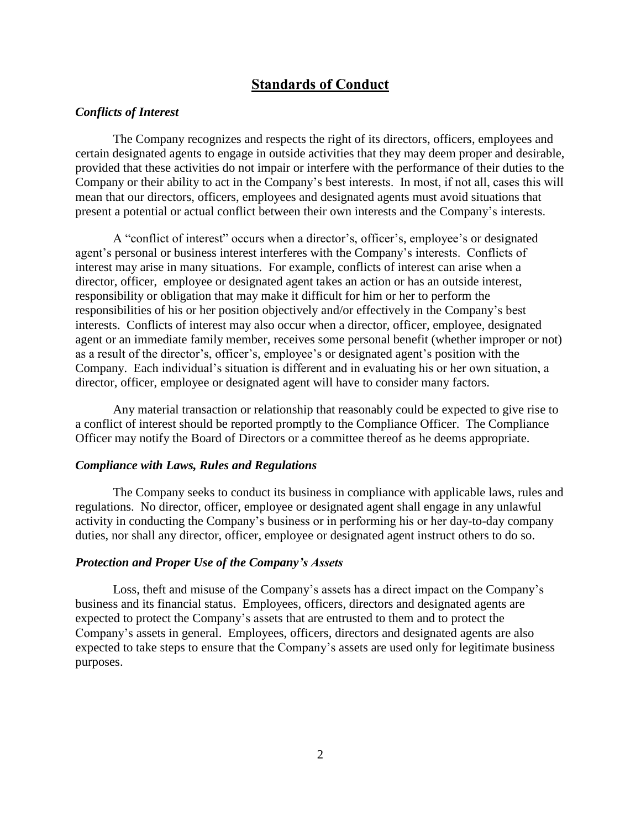## **Standards of Conduct**

#### *Conflicts of Interest*

The Company recognizes and respects the right of its directors, officers, employees and certain designated agents to engage in outside activities that they may deem proper and desirable, provided that these activities do not impair or interfere with the performance of their duties to the Company or their ability to act in the Company's best interests. In most, if not all, cases this will mean that our directors, officers, employees and designated agents must avoid situations that present a potential or actual conflict between their own interests and the Company's interests.

A "conflict of interest" occurs when a director's, officer's, employee's or designated agent's personal or business interest interferes with the Company's interests. Conflicts of interest may arise in many situations. For example, conflicts of interest can arise when a director, officer, employee or designated agent takes an action or has an outside interest, responsibility or obligation that may make it difficult for him or her to perform the responsibilities of his or her position objectively and/or effectively in the Company's best interests. Conflicts of interest may also occur when a director, officer, employee, designated agent or an immediate family member, receives some personal benefit (whether improper or not) as a result of the director's, officer's, employee's or designated agent's position with the Company. Each individual's situation is different and in evaluating his or her own situation, a director, officer, employee or designated agent will have to consider many factors.

Any material transaction or relationship that reasonably could be expected to give rise to a conflict of interest should be reported promptly to the Compliance Officer. The Compliance Officer may notify the Board of Directors or a committee thereof as he deems appropriate.

#### *Compliance with Laws, Rules and Regulations*

The Company seeks to conduct its business in compliance with applicable laws, rules and regulations. No director, officer, employee or designated agent shall engage in any unlawful activity in conducting the Company's business or in performing his or her day-to-day company duties, nor shall any director, officer, employee or designated agent instruct others to do so.

#### *Protection and Proper Use of the Company's Assets*

Loss, theft and misuse of the Company's assets has a direct impact on the Company's business and its financial status. Employees, officers, directors and designated agents are expected to protect the Company's assets that are entrusted to them and to protect the Company's assets in general. Employees, officers, directors and designated agents are also expected to take steps to ensure that the Company's assets are used only for legitimate business purposes.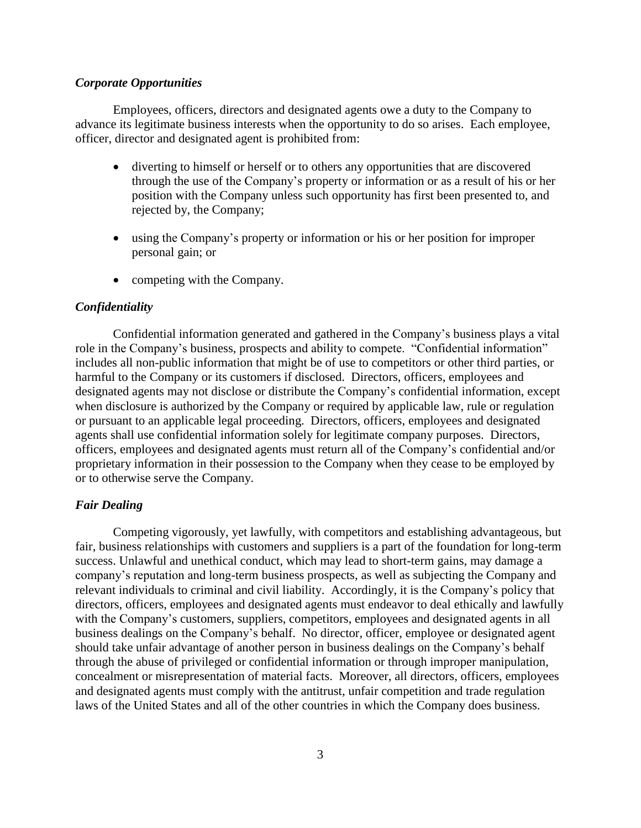#### *Corporate Opportunities*

Employees, officers, directors and designated agents owe a duty to the Company to advance its legitimate business interests when the opportunity to do so arises. Each employee, officer, director and designated agent is prohibited from:

- diverting to himself or herself or to others any opportunities that are discovered through the use of the Company's property or information or as a result of his or her position with the Company unless such opportunity has first been presented to, and rejected by, the Company;
- using the Company's property or information or his or her position for improper personal gain; or
- competing with the Company.

#### *Confidentiality*

Confidential information generated and gathered in the Company's business plays a vital role in the Company's business, prospects and ability to compete. "Confidential information" includes all non-public information that might be of use to competitors or other third parties, or harmful to the Company or its customers if disclosed. Directors, officers, employees and designated agents may not disclose or distribute the Company's confidential information, except when disclosure is authorized by the Company or required by applicable law, rule or regulation or pursuant to an applicable legal proceeding. Directors, officers, employees and designated agents shall use confidential information solely for legitimate company purposes. Directors, officers, employees and designated agents must return all of the Company's confidential and/or proprietary information in their possession to the Company when they cease to be employed by or to otherwise serve the Company.

### *Fair Dealing*

Competing vigorously, yet lawfully, with competitors and establishing advantageous, but fair, business relationships with customers and suppliers is a part of the foundation for long-term success. Unlawful and unethical conduct, which may lead to short-term gains, may damage a company's reputation and long-term business prospects, as well as subjecting the Company and relevant individuals to criminal and civil liability. Accordingly, it is the Company's policy that directors, officers, employees and designated agents must endeavor to deal ethically and lawfully with the Company's customers, suppliers, competitors, employees and designated agents in all business dealings on the Company's behalf. No director, officer, employee or designated agent should take unfair advantage of another person in business dealings on the Company's behalf through the abuse of privileged or confidential information or through improper manipulation, concealment or misrepresentation of material facts. Moreover, all directors, officers, employees and designated agents must comply with the antitrust, unfair competition and trade regulation laws of the United States and all of the other countries in which the Company does business.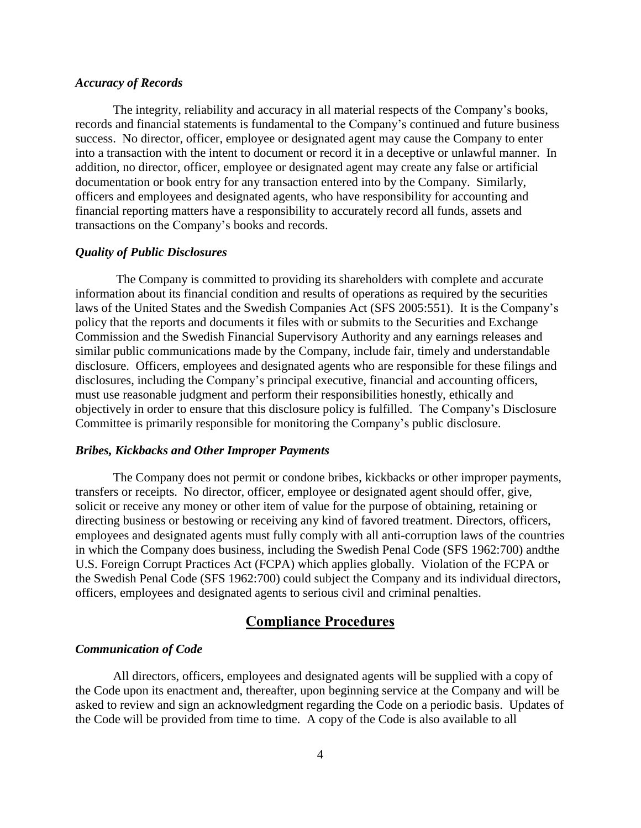#### *Accuracy of Records*

The integrity, reliability and accuracy in all material respects of the Company's books, records and financial statements is fundamental to the Company's continued and future business success. No director, officer, employee or designated agent may cause the Company to enter into a transaction with the intent to document or record it in a deceptive or unlawful manner. In addition, no director, officer, employee or designated agent may create any false or artificial documentation or book entry for any transaction entered into by the Company. Similarly, officers and employees and designated agents, who have responsibility for accounting and financial reporting matters have a responsibility to accurately record all funds, assets and transactions on the Company's books and records.

#### *Quality of Public Disclosures*

The Company is committed to providing its shareholders with complete and accurate information about its financial condition and results of operations as required by the securities laws of the United States and the Swedish Companies Act (SFS 2005:551). It is the Company's policy that the reports and documents it files with or submits to the Securities and Exchange Commission and the Swedish Financial Supervisory Authority and any earnings releases and similar public communications made by the Company, include fair, timely and understandable disclosure. Officers, employees and designated agents who are responsible for these filings and disclosures, including the Company's principal executive, financial and accounting officers, must use reasonable judgment and perform their responsibilities honestly, ethically and objectively in order to ensure that this disclosure policy is fulfilled. The Company's Disclosure Committee is primarily responsible for monitoring the Company's public disclosure.

#### *Bribes, Kickbacks and Other Improper Payments*

The Company does not permit or condone bribes, kickbacks or other improper payments, transfers or receipts. No director, officer, employee or designated agent should offer, give, solicit or receive any money or other item of value for the purpose of obtaining, retaining or directing business or bestowing or receiving any kind of favored treatment. Directors, officers, employees and designated agents must fully comply with all anti-corruption laws of the countries in which the Company does business, including the Swedish Penal Code (SFS 1962:700) andthe U.S. Foreign Corrupt Practices Act (FCPA) which applies globally. Violation of the FCPA or the Swedish Penal Code (SFS 1962:700) could subject the Company and its individual directors, officers, employees and designated agents to serious civil and criminal penalties.

## **Compliance Procedures**

### *Communication of Code*

All directors, officers, employees and designated agents will be supplied with a copy of the Code upon its enactment and, thereafter, upon beginning service at the Company and will be asked to review and sign an acknowledgment regarding the Code on a periodic basis. Updates of the Code will be provided from time to time. A copy of the Code is also available to all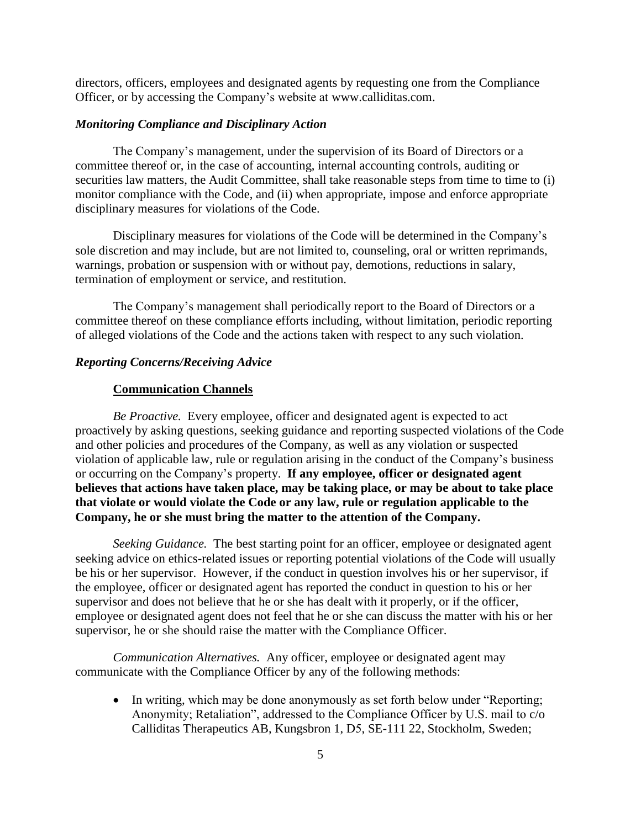directors, officers, employees and designated agents by requesting one from the Compliance Officer, or by accessing the Company's website at www.calliditas.com.

### *Monitoring Compliance and Disciplinary Action*

The Company's management, under the supervision of its Board of Directors or a committee thereof or, in the case of accounting, internal accounting controls, auditing or securities law matters, the Audit Committee, shall take reasonable steps from time to time to (i) monitor compliance with the Code, and (ii) when appropriate, impose and enforce appropriate disciplinary measures for violations of the Code.

Disciplinary measures for violations of the Code will be determined in the Company's sole discretion and may include, but are not limited to, counseling, oral or written reprimands, warnings, probation or suspension with or without pay, demotions, reductions in salary, termination of employment or service, and restitution.

The Company's management shall periodically report to the Board of Directors or a committee thereof on these compliance efforts including, without limitation, periodic reporting of alleged violations of the Code and the actions taken with respect to any such violation.

#### *Reporting Concerns/Receiving Advice*

#### **Communication Channels**

*Be Proactive.* Every employee, officer and designated agent is expected to act proactively by asking questions, seeking guidance and reporting suspected violations of the Code and other policies and procedures of the Company, as well as any violation or suspected violation of applicable law, rule or regulation arising in the conduct of the Company's business or occurring on the Company's property. **If any employee, officer or designated agent believes that actions have taken place, may be taking place, or may be about to take place that violate or would violate the Code or any law, rule or regulation applicable to the Company, he or she must bring the matter to the attention of the Company.**

*Seeking Guidance.* The best starting point for an officer, employee or designated agent seeking advice on ethics-related issues or reporting potential violations of the Code will usually be his or her supervisor. However, if the conduct in question involves his or her supervisor, if the employee, officer or designated agent has reported the conduct in question to his or her supervisor and does not believe that he or she has dealt with it properly, or if the officer, employee or designated agent does not feel that he or she can discuss the matter with his or her supervisor, he or she should raise the matter with the Compliance Officer.

*Communication Alternatives.* Any officer, employee or designated agent may communicate with the Compliance Officer by any of the following methods:

• In writing, which may be done anonymously as set forth below under "Reporting; Anonymity; Retaliation", addressed to the Compliance Officer by U.S. mail to c/o Calliditas Therapeutics AB, Kungsbron 1, D5, SE-111 22, Stockholm, Sweden;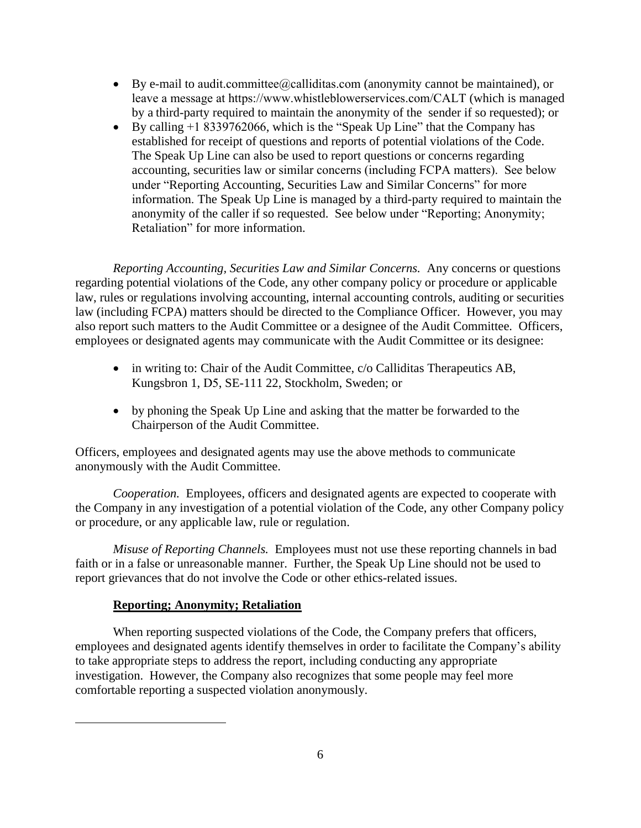- By e-mail to audit.committee@calliditas.com (anonymity cannot be maintained), or leave a message at https://www.whistleblowerservices.com/CALT (which is managed by a third-party required to maintain the anonymity of the sender if so requested); or
- By calling +1 8339762066, which is the "Speak Up Line" that the Company has established for receipt of questions and reports of potential violations of the Code. The Speak Up Line can also be used to report questions or concerns regarding accounting, securities law or similar concerns (including FCPA matters). See below under "Reporting Accounting, Securities Law and Similar Concerns" for more information. The Speak Up Line is managed by a third-party required to maintain the anonymity of the caller if so requested. See below under "Reporting; Anonymity; Retaliation" for more information.

*Reporting Accounting, Securities Law and Similar Concerns.* Any concerns or questions regarding potential violations of the Code, any other company policy or procedure or applicable law, rules or regulations involving accounting, internal accounting controls, auditing or securities law (including FCPA) matters should be directed to the Compliance Officer. However, you may also report such matters to the Audit Committee or a designee of the Audit Committee. Officers, employees or designated agents may communicate with the Audit Committee or its designee:

- in writing to: Chair of the Audit Committee, c/o Calliditas Therapeutics AB, Kungsbron 1, D5, SE-111 22, Stockholm, Sweden; or
- by phoning the Speak Up Line and asking that the matter be forwarded to the Chairperson of the Audit Committee.

Officers, employees and designated agents may use the above methods to communicate anonymously with the Audit Committee.

*Cooperation.* Employees, officers and designated agents are expected to cooperate with the Company in any investigation of a potential violation of the Code, any other Company policy or procedure, or any applicable law, rule or regulation.

*Misuse of Reporting Channels.* Employees must not use these reporting channels in bad faith or in a false or unreasonable manner. Further, the Speak Up Line should not be used to report grievances that do not involve the Code or other ethics-related issues.

## **Reporting; Anonymity; Retaliation**

When reporting suspected violations of the Code, the Company prefers that officers, employees and designated agents identify themselves in order to facilitate the Company's ability to take appropriate steps to address the report, including conducting any appropriate investigation. However, the Company also recognizes that some people may feel more comfortable reporting a suspected violation anonymously.